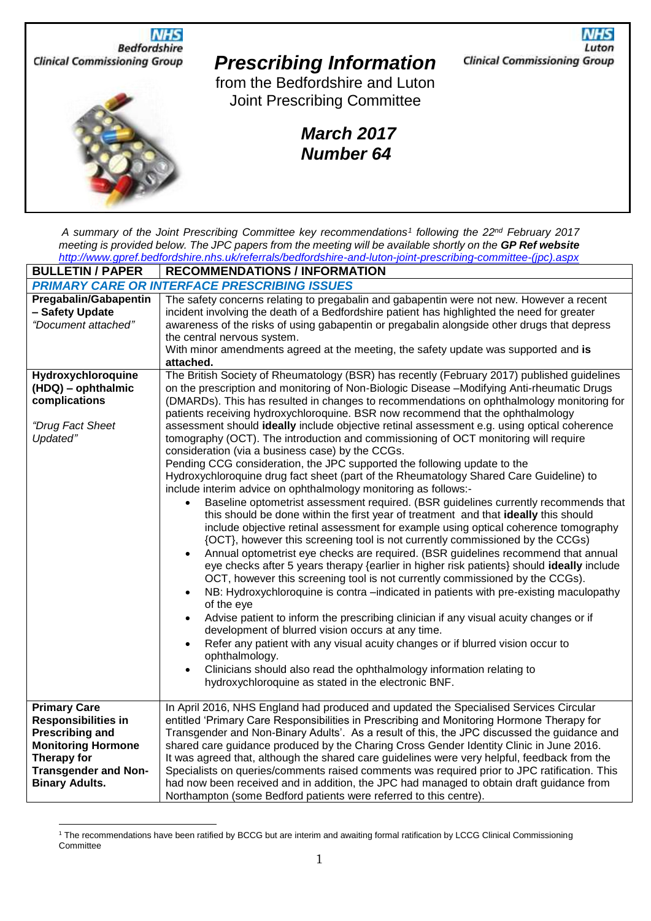

*A summary of the Joint Prescribing Committee key recommendations<sup>1</sup> following the 22nd February 2017 meeting is provided below. The JPC papers from the meeting will be available shortly on the GP Ref website [http://www.gpref.bedfordshire.nhs.uk/referrals/bedfordshire-and-luton-joint-prescribing-committee-\(jpc\).aspx](http://www.gpref.bedfordshire.nhs.uk/referrals/bedfordshire-and-luton-joint-prescribing-committee-(jpc).aspx)*

| <b>BULLETIN / PAPER</b>                                                                                                                                                                | <b>RECOMMENDATIONS / INFORMATION</b>                                                                                                                                                                                                                                                                                                                                                                                                                                                                                                                                                                                                                                                                                                                                                                                                                                                                                                                                                                                                                                                                                                                                                                                                                                                                                                                                                                                                                                                                                                                                                                                                                                                                                                                                                                                                                                                                                                                                                       |  |
|----------------------------------------------------------------------------------------------------------------------------------------------------------------------------------------|--------------------------------------------------------------------------------------------------------------------------------------------------------------------------------------------------------------------------------------------------------------------------------------------------------------------------------------------------------------------------------------------------------------------------------------------------------------------------------------------------------------------------------------------------------------------------------------------------------------------------------------------------------------------------------------------------------------------------------------------------------------------------------------------------------------------------------------------------------------------------------------------------------------------------------------------------------------------------------------------------------------------------------------------------------------------------------------------------------------------------------------------------------------------------------------------------------------------------------------------------------------------------------------------------------------------------------------------------------------------------------------------------------------------------------------------------------------------------------------------------------------------------------------------------------------------------------------------------------------------------------------------------------------------------------------------------------------------------------------------------------------------------------------------------------------------------------------------------------------------------------------------------------------------------------------------------------------------------------------------|--|
| <b>PRIMARY CARE OR INTERFACE PRESCRIBING ISSUES</b>                                                                                                                                    |                                                                                                                                                                                                                                                                                                                                                                                                                                                                                                                                                                                                                                                                                                                                                                                                                                                                                                                                                                                                                                                                                                                                                                                                                                                                                                                                                                                                                                                                                                                                                                                                                                                                                                                                                                                                                                                                                                                                                                                            |  |
| <b>Pregabalin/Gabapentin</b><br>- Safety Update<br>"Document attached"                                                                                                                 | The safety concerns relating to pregabalin and gabapentin were not new. However a recent<br>incident involving the death of a Bedfordshire patient has highlighted the need for greater<br>awareness of the risks of using gabapentin or pregabalin alongside other drugs that depress<br>the central nervous system.<br>With minor amendments agreed at the meeting, the safety update was supported and is<br>attached.                                                                                                                                                                                                                                                                                                                                                                                                                                                                                                                                                                                                                                                                                                                                                                                                                                                                                                                                                                                                                                                                                                                                                                                                                                                                                                                                                                                                                                                                                                                                                                  |  |
| Hydroxychloroquine<br>(HDQ) - ophthalmic<br>complications<br>"Drug Fact Sheet<br>Updated"                                                                                              | The British Society of Rheumatology (BSR) has recently (February 2017) published guidelines<br>on the prescription and monitoring of Non-Biologic Disease -Modifying Anti-rheumatic Drugs<br>(DMARDs). This has resulted in changes to recommendations on ophthalmology monitoring for<br>patients receiving hydroxychloroquine. BSR now recommend that the ophthalmology<br>assessment should ideally include objective retinal assessment e.g. using optical coherence<br>tomography (OCT). The introduction and commissioning of OCT monitoring will require<br>consideration (via a business case) by the CCGs.<br>Pending CCG consideration, the JPC supported the following update to the<br>Hydroxychloroquine drug fact sheet (part of the Rheumatology Shared Care Guideline) to<br>include interim advice on ophthalmology monitoring as follows:-<br>Baseline optometrist assessment required. (BSR guidelines currently recommends that<br>this should be done within the first year of treatment and that ideally this should<br>include objective retinal assessment for example using optical coherence tomography<br>{OCT}, however this screening tool is not currently commissioned by the CCGs)<br>Annual optometrist eye checks are required. (BSR guidelines recommend that annual<br>eye checks after 5 years therapy {earlier in higher risk patients} should ideally include<br>OCT, however this screening tool is not currently commissioned by the CCGs).<br>NB: Hydroxychloroquine is contra -indicated in patients with pre-existing maculopathy<br>of the eye<br>Advise patient to inform the prescribing clinician if any visual acuity changes or if<br>$\bullet$<br>development of blurred vision occurs at any time.<br>Refer any patient with any visual acuity changes or if blurred vision occur to<br>ophthalmology.<br>Clinicians should also read the ophthalmology information relating to<br>hydroxychloroquine as stated in the electronic BNF. |  |
| <b>Primary Care</b><br><b>Responsibilities in</b><br><b>Prescribing and</b><br><b>Monitoring Hormone</b><br><b>Therapy for</b><br><b>Transgender and Non-</b><br><b>Binary Adults.</b> | In April 2016, NHS England had produced and updated the Specialised Services Circular<br>entitled 'Primary Care Responsibilities in Prescribing and Monitoring Hormone Therapy for<br>Transgender and Non-Binary Adults'. As a result of this, the JPC discussed the guidance and<br>shared care guidance produced by the Charing Cross Gender Identity Clinic in June 2016.<br>It was agreed that, although the shared care guidelines were very helpful, feedback from the<br>Specialists on queries/comments raised comments was required prior to JPC ratification. This<br>had now been received and in addition, the JPC had managed to obtain draft guidance from<br>Northampton (some Bedford patients were referred to this centre).                                                                                                                                                                                                                                                                                                                                                                                                                                                                                                                                                                                                                                                                                                                                                                                                                                                                                                                                                                                                                                                                                                                                                                                                                                              |  |

<sup>1</sup> The recommendations have been ratified by BCCG but are interim and awaiting formal ratification by LCCG Clinical Commissioning **Committee**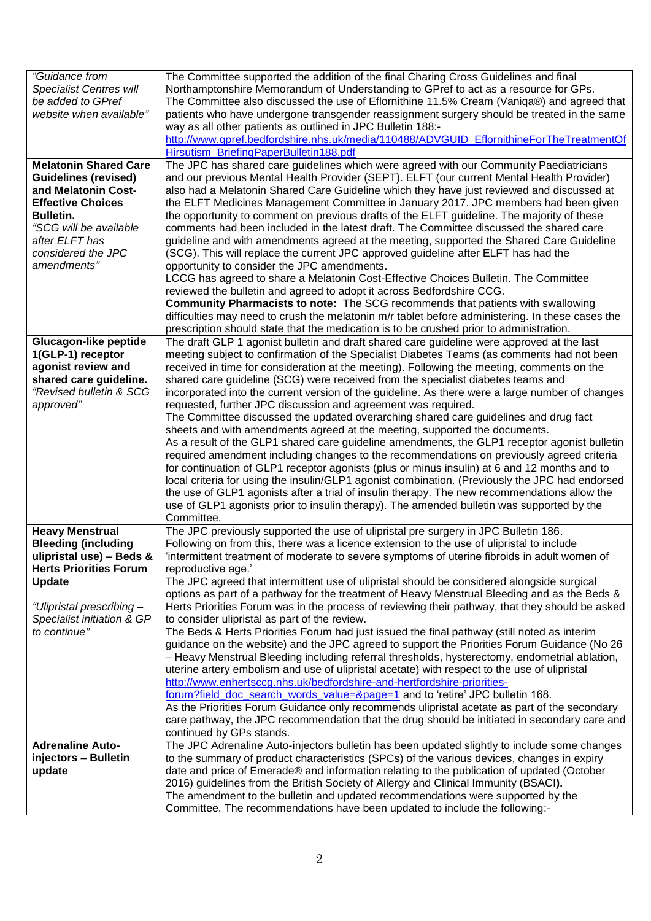| "Guidance from<br><b>Specialist Centres will</b><br>be added to GPref<br>website when available"                                                                                                                    | The Committee supported the addition of the final Charing Cross Guidelines and final<br>Northamptonshire Memorandum of Understanding to GPref to act as a resource for GPs.<br>The Committee also discussed the use of Eflornithine 11.5% Cream (Vaniqa®) and agreed that<br>patients who have undergone transgender reassignment surgery should be treated in the same<br>way as all other patients as outlined in JPC Bulletin 188:-<br>http://www.gpref.bedfordshire.nhs.uk/media/110488/ADVGUID EflornithineForTheTreatmentOf<br>Hirsutism_BriefingPaperBulletin188.pdf                                                                                                                                                                                                                                                                                                                                                                                                                                                                                                                                                                                                                                                                                                                                                                                                                                                                    |
|---------------------------------------------------------------------------------------------------------------------------------------------------------------------------------------------------------------------|------------------------------------------------------------------------------------------------------------------------------------------------------------------------------------------------------------------------------------------------------------------------------------------------------------------------------------------------------------------------------------------------------------------------------------------------------------------------------------------------------------------------------------------------------------------------------------------------------------------------------------------------------------------------------------------------------------------------------------------------------------------------------------------------------------------------------------------------------------------------------------------------------------------------------------------------------------------------------------------------------------------------------------------------------------------------------------------------------------------------------------------------------------------------------------------------------------------------------------------------------------------------------------------------------------------------------------------------------------------------------------------------------------------------------------------------|
| <b>Melatonin Shared Care</b><br><b>Guidelines (revised)</b><br>and Melatonin Cost-<br><b>Effective Choices</b><br><b>Bulletin.</b><br>"SCG will be available<br>after ELFT has<br>considered the JPC<br>amendments" | The JPC has shared care guidelines which were agreed with our Community Paediatricians<br>and our previous Mental Health Provider (SEPT). ELFT (our current Mental Health Provider)<br>also had a Melatonin Shared Care Guideline which they have just reviewed and discussed at<br>the ELFT Medicines Management Committee in January 2017. JPC members had been given<br>the opportunity to comment on previous drafts of the ELFT guideline. The majority of these<br>comments had been included in the latest draft. The Committee discussed the shared care<br>guideline and with amendments agreed at the meeting, supported the Shared Care Guideline<br>(SCG). This will replace the current JPC approved guideline after ELFT has had the<br>opportunity to consider the JPC amendments.<br>LCCG has agreed to share a Melatonin Cost-Effective Choices Bulletin. The Committee<br>reviewed the bulletin and agreed to adopt it across Bedfordshire CCG.<br><b>Community Pharmacists to note:</b> The SCG recommends that patients with swallowing<br>difficulties may need to crush the melatonin m/r tablet before administering. In these cases the<br>prescription should state that the medication is to be crushed prior to administration.                                                                                                                                                                                     |
| <b>Glucagon-like peptide</b><br>1(GLP-1) receptor<br>agonist review and<br>shared care guideline.<br>"Revised bulletin & SCG<br>approved"                                                                           | The draft GLP 1 agonist bulletin and draft shared care guideline were approved at the last<br>meeting subject to confirmation of the Specialist Diabetes Teams (as comments had not been<br>received in time for consideration at the meeting). Following the meeting, comments on the<br>shared care guideline (SCG) were received from the specialist diabetes teams and<br>incorporated into the current version of the guideline. As there were a large number of changes<br>requested, further JPC discussion and agreement was required.<br>The Committee discussed the updated overarching shared care guidelines and drug fact<br>sheets and with amendments agreed at the meeting, supported the documents.<br>As a result of the GLP1 shared care guideline amendments, the GLP1 receptor agonist bulletin<br>required amendment including changes to the recommendations on previously agreed criteria<br>for continuation of GLP1 receptor agonists (plus or minus insulin) at 6 and 12 months and to<br>local criteria for using the insulin/GLP1 agonist combination. (Previously the JPC had endorsed<br>the use of GLP1 agonists after a trial of insulin therapy. The new recommendations allow the<br>use of GLP1 agonists prior to insulin therapy). The amended bulletin was supported by the<br>Committee.                                                                                                                |
| <b>Heavy Menstrual</b><br><b>Bleeding (including</b><br>ulipristal use) - Beds &<br><b>Herts Priorities Forum</b><br><b>Update</b><br>"Ulipristal prescribing-<br>Specialist initiation & GP<br>to continue"        | The JPC previously supported the use of ulipristal pre surgery in JPC Bulletin 186.<br>Following on from this, there was a licence extension to the use of ulipristal to include<br>'intermittent treatment of moderate to severe symptoms of uterine fibroids in adult women of<br>reproductive age.'<br>The JPC agreed that intermittent use of ulipristal should be considered alongside surgical<br>options as part of a pathway for the treatment of Heavy Menstrual Bleeding and as the Beds &<br>Herts Priorities Forum was in the process of reviewing their pathway, that they should be asked<br>to consider ulipristal as part of the review.<br>The Beds & Herts Priorities Forum had just issued the final pathway (still noted as interim<br>guidance on the website) and the JPC agreed to support the Priorities Forum Guidance (No 26<br>- Heavy Menstrual Bleeding including referral thresholds, hysterectomy, endometrial ablation,<br>uterine artery embolism and use of ulipristal acetate) with respect to the use of ulipristal<br>http://www.enhertsccg.nhs.uk/bedfordshire-and-hertfordshire-priorities-<br>forum?field doc search words value=&page=1 and to 'retire' JPC bulletin 168.<br>As the Priorities Forum Guidance only recommends ulipristal acetate as part of the secondary<br>care pathway, the JPC recommendation that the drug should be initiated in secondary care and<br>continued by GPs stands. |
| <b>Adrenaline Auto-</b><br>injectors - Bulletin<br>update                                                                                                                                                           | The JPC Adrenaline Auto-injectors bulletin has been updated slightly to include some changes<br>to the summary of product characteristics (SPCs) of the various devices, changes in expiry<br>date and price of Emerade® and information relating to the publication of updated (October<br>2016) guidelines from the British Society of Allergy and Clinical Immunity (BSACI).<br>The amendment to the bulletin and updated recommendations were supported by the<br>Committee. The recommendations have been updated to include the following:-                                                                                                                                                                                                                                                                                                                                                                                                                                                                                                                                                                                                                                                                                                                                                                                                                                                                                              |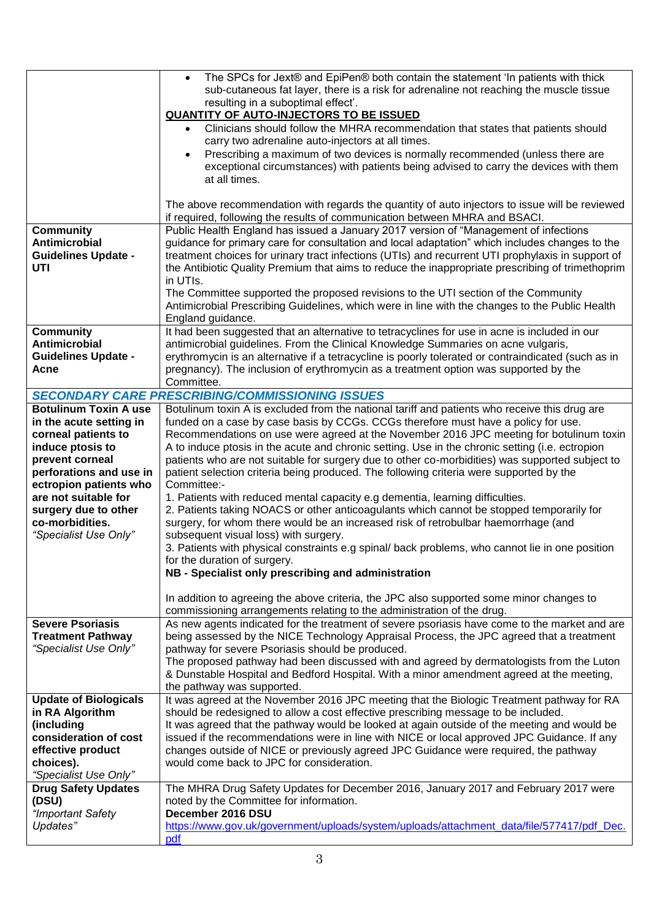|                                                   | The SPCs for Jext® and EpiPen® both contain the statement 'In patients with thick<br>$\bullet$<br>sub-cutaneous fat layer, there is a risk for adrenaline not reaching the muscle tissue<br>resulting in a suboptimal effect'. |
|---------------------------------------------------|--------------------------------------------------------------------------------------------------------------------------------------------------------------------------------------------------------------------------------|
|                                                   | <b>QUANTITY OF AUTO-INJECTORS TO BE ISSUED</b><br>Clinicians should follow the MHRA recommendation that states that patients should                                                                                            |
|                                                   | carry two adrenaline auto-injectors at all times.                                                                                                                                                                              |
|                                                   | Prescribing a maximum of two devices is normally recommended (unless there are<br>exceptional circumstances) with patients being advised to carry the devices with them<br>at all times.                                       |
|                                                   | The above recommendation with regards the quantity of auto injectors to issue will be reviewed<br>if required, following the results of communication between MHRA and BSACI.                                                  |
| <b>Community</b>                                  | Public Health England has issued a January 2017 version of "Management of infections                                                                                                                                           |
| Antimicrobial                                     | guidance for primary care for consultation and local adaptation" which includes changes to the                                                                                                                                 |
| <b>Guidelines Update -</b><br>UTI                 | treatment choices for urinary tract infections (UTIs) and recurrent UTI prophylaxis in support of<br>the Antibiotic Quality Premium that aims to reduce the inappropriate prescribing of trimethoprim                          |
|                                                   | in UTIs.                                                                                                                                                                                                                       |
|                                                   | The Committee supported the proposed revisions to the UTI section of the Community                                                                                                                                             |
|                                                   | Antimicrobial Prescribing Guidelines, which were in line with the changes to the Public Health                                                                                                                                 |
|                                                   | England guidance.                                                                                                                                                                                                              |
| <b>Community</b><br>Antimicrobial                 | It had been suggested that an alternative to tetracyclines for use in acne is included in our<br>antimicrobial guidelines. From the Clinical Knowledge Summaries on acne vulgaris,                                             |
| <b>Guidelines Update -</b>                        | erythromycin is an alternative if a tetracycline is poorly tolerated or contraindicated (such as in                                                                                                                            |
| Acne                                              | pregnancy). The inclusion of erythromycin as a treatment option was supported by the                                                                                                                                           |
|                                                   | Committee.                                                                                                                                                                                                                     |
|                                                   | <b>SECONDARY CARE PRESCRIBING/COMMISSIONING ISSUES</b>                                                                                                                                                                         |
| <b>Botulinum Toxin A use</b>                      | Botulinum toxin A is excluded from the national tariff and patients who receive this drug are                                                                                                                                  |
| in the acute setting in<br>corneal patients to    | funded on a case by case basis by CCGs. CCGs therefore must have a policy for use.<br>Recommendations on use were agreed at the November 2016 JPC meeting for botulinum toxin                                                  |
| induce ptosis to                                  | A to induce ptosis in the acute and chronic setting. Use in the chronic setting (i.e. ectropion                                                                                                                                |
| prevent corneal                                   | patients who are not suitable for surgery due to other co-morbidities) was supported subject to                                                                                                                                |
| perforations and use in                           | patient selection criteria being produced. The following criteria were supported by the                                                                                                                                        |
| ectropion patients who                            | Committee:-                                                                                                                                                                                                                    |
| are not suitable for<br>surgery due to other      | 1. Patients with reduced mental capacity e.g dementia, learning difficulties.<br>2. Patients taking NOACS or other anticoagulants which cannot be stopped temporarily for                                                      |
| co-morbidities.                                   | surgery, for whom there would be an increased risk of retrobulbar haemorrhage (and                                                                                                                                             |
| "Specialist Use Only"                             | subsequent visual loss) with surgery.                                                                                                                                                                                          |
|                                                   | 3. Patients with physical constraints e.g spinal/ back problems, who cannot lie in one position                                                                                                                                |
|                                                   | for the duration of surgery.                                                                                                                                                                                                   |
|                                                   | NB - Specialist only prescribing and administration                                                                                                                                                                            |
|                                                   | In addition to agreeing the above criteria, the JPC also supported some minor changes to<br>commissioning arrangements relating to the administration of the drug.                                                             |
| <b>Severe Psoriasis</b>                           | As new agents indicated for the treatment of severe psoriasis have come to the market and are                                                                                                                                  |
| <b>Treatment Pathway</b><br>"Specialist Use Only" | being assessed by the NICE Technology Appraisal Process, the JPC agreed that a treatment<br>pathway for severe Psoriasis should be produced.                                                                                   |
|                                                   | The proposed pathway had been discussed with and agreed by dermatologists from the Luton                                                                                                                                       |
|                                                   | & Dunstable Hospital and Bedford Hospital. With a minor amendment agreed at the meeting,                                                                                                                                       |
|                                                   | the pathway was supported.                                                                                                                                                                                                     |
| <b>Update of Biologicals</b>                      | It was agreed at the November 2016 JPC meeting that the Biologic Treatment pathway for RA                                                                                                                                      |
| in RA Algorithm<br>(including                     | should be redesigned to allow a cost effective prescribing message to be included.<br>It was agreed that the pathway would be looked at again outside of the meeting and would be                                              |
| consideration of cost                             | issued if the recommendations were in line with NICE or local approved JPC Guidance. If any                                                                                                                                    |
| effective product                                 | changes outside of NICE or previously agreed JPC Guidance were required, the pathway                                                                                                                                           |
| choices).                                         | would come back to JPC for consideration.                                                                                                                                                                                      |
| "Specialist Use Only"                             |                                                                                                                                                                                                                                |
| <b>Drug Safety Updates</b><br>(DSU)               | The MHRA Drug Safety Updates for December 2016, January 2017 and February 2017 were<br>noted by the Committee for information.                                                                                                 |
| "Important Safety                                 | December 2016 DSU                                                                                                                                                                                                              |
| Updates"                                          | https://www.gov.uk/government/uploads/system/uploads/attachment_data/file/577417/pdf_Dec.                                                                                                                                      |
|                                                   | pdf                                                                                                                                                                                                                            |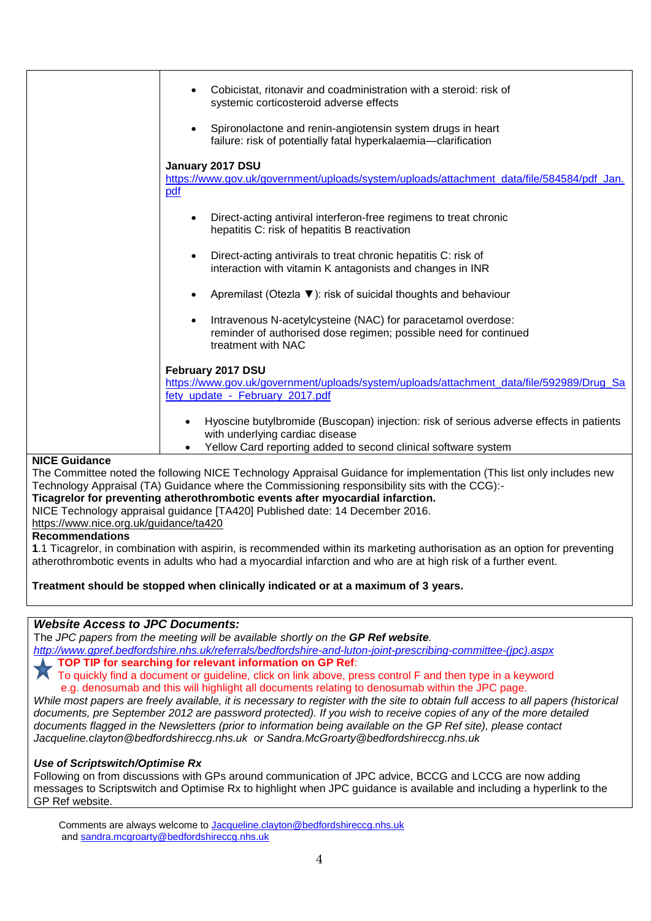|                      | Cobicistat, ritonavir and coadministration with a steroid: risk of<br>systemic corticosteroid adverse effects<br>Spironolactone and renin-angiotensin system drugs in heart<br>failure: risk of potentially fatal hyperkalaemia-clarification |
|----------------------|-----------------------------------------------------------------------------------------------------------------------------------------------------------------------------------------------------------------------------------------------|
|                      |                                                                                                                                                                                                                                               |
|                      | January 2017 DSU<br>https://www.gov.uk/government/uploads/system/uploads/attachment_data/file/584584/pdf_Jan.                                                                                                                                 |
| pdf                  |                                                                                                                                                                                                                                               |
|                      |                                                                                                                                                                                                                                               |
|                      | Direct-acting antiviral interferon-free regimens to treat chronic<br>hepatitis C: risk of hepatitis B reactivation                                                                                                                            |
|                      | Direct-acting antivirals to treat chronic hepatitis C: risk of<br>interaction with vitamin K antagonists and changes in INR                                                                                                                   |
|                      | Apremilast (Otezla ▼): risk of suicidal thoughts and behaviour                                                                                                                                                                                |
|                      | Intravenous N-acetylcysteine (NAC) for paracetamol overdose:<br>reminder of authorised dose regimen; possible need for continued<br>treatment with NAC                                                                                        |
|                      | February 2017 DSU                                                                                                                                                                                                                             |
|                      | https://www.gov.uk/government/uploads/system/uploads/attachment_data/file/592989/Drug_Sa                                                                                                                                                      |
|                      | fety_update_-_February_2017.pdf                                                                                                                                                                                                               |
|                      | Hyoscine butylbromide (Buscopan) injection: risk of serious adverse effects in patients<br>with underlying cardiac disease<br>Yellow Card reporting added to second clinical software system                                                  |
| <b>NICE Guidance</b> |                                                                                                                                                                                                                                               |
|                      | The Committee noted the following NICE Technology Appraisal Guidance for implementation (This list only includes new                                                                                                                          |

The Committee noted the following NICE Technology Appraisal Guidance for implementation (This list only includes new Technology Appraisal (TA) Guidance where the Commissioning responsibility sits with the CCG):-

**Ticagrelor for preventing atherothrombotic events after myocardial infarction.**

NICE Technology appraisal guidance [TA420] Published date: 14 December 2016.

<https://www.nice.org.uk/guidance/ta420>

## **Recommendations**

**1**.1 Ticagrelor, in combination with aspirin, is recommended within its marketing authorisation as an option for preventing atherothrombotic events in adults who had a myocardial infarction and who are at high risk of a further event.

**Treatment should be stopped when clinically indicated or at a maximum of 3 years.**

## *Website Access to JPC Documents:*

The *JPC papers from the meeting will be available shortly on the GP Ref website.*

*[http://www.gpref.bedfordshire.nhs.uk/referrals/bedfordshire-and-luton-joint-prescribing-committee-\(jpc\).aspx](http://www.gpref.bedfordshire.nhs.uk/referrals/bedfordshire-and-luton-joint-prescribing-committee-(jpc).aspx)*

**TOP TIP for searching for relevant information on GP Ref:** 

 To quickly find a document or guideline, click on link above, press control F and then type in a keyword e.g. denosumab and this will highlight all documents relating to denosumab within the JPC page.

*While most papers are freely available, it is necessary to register with the site to obtain full access to all papers (historical documents, pre September 2012 are password protected). If you wish to receive copies of any of the more detailed documents flagged in the Newsletters (prior to information being available on the GP Ref site), please contact [Jacqueline.clayton@bedfordshireccg.nhs.uk](mailto:Jacqueline.clayton@bedfordshireccg.nhs.uk) or [Sandra.McGroarty@bedfordshireccg.nhs.uk](mailto:Sandra.McGroarty@bedfordshireccg.nhs.uk)*

# *Use of Scriptswitch/Optimise Rx*

Following on from discussions with GPs around communication of JPC advice, BCCG and LCCG are now adding messages to Scriptswitch and Optimise Rx to highlight when JPC guidance is available and including a hyperlink to the GP Ref website.

Comments are always welcome to [Jacqueline.clayton@bedfordshireccg.nhs.uk](mailto:Jacqueline.clayton@bedfordshireccg.nhs.uk) and [sandra.mcgroarty@bedfordshireccg.nhs.uk](mailto:sandra.mcgroarty@bedfordshireccg.nhs.uk)